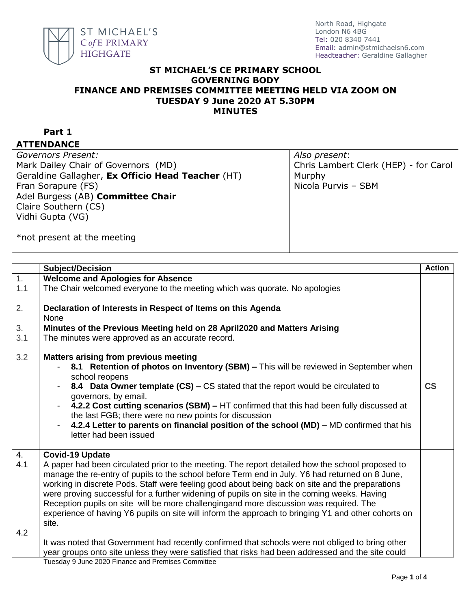

#### **ST MICHAEL'S CE PRIMARY SCHOOL GOVERNING BODY FINANCE AND PREMISES COMMITTEE MEETING HELD VIA ZOOM ON TUESDAY 9 June 2020 AT 5.30PM MINUTES**

### **Part 1**

# **ATTENDANCE**

*Governors Present:* Mark Dailey Chair of Governors (MD) Geraldine Gallagher, **Ex Officio Head Teacher** (HT) Fran Sorapure (FS) Adel Burgess (AB) **Committee Chair** Claire Southern (CS) Vidhi Gupta (VG)

*Also present*: Chris Lambert Clerk (HEP) - for Carol Murphy Nicola Purvis – SBM

\*not present at the meeting

|                  | <b>Subject/Decision</b>                                                                                                                                                                                                                                                                                                                                                                                                                                                                                                                                                                                                                    | <b>Action</b>            |
|------------------|--------------------------------------------------------------------------------------------------------------------------------------------------------------------------------------------------------------------------------------------------------------------------------------------------------------------------------------------------------------------------------------------------------------------------------------------------------------------------------------------------------------------------------------------------------------------------------------------------------------------------------------------|--------------------------|
| $\overline{1}$ . | <b>Welcome and Apologies for Absence</b>                                                                                                                                                                                                                                                                                                                                                                                                                                                                                                                                                                                                   |                          |
| 1.1              | The Chair welcomed everyone to the meeting which was quorate. No apologies                                                                                                                                                                                                                                                                                                                                                                                                                                                                                                                                                                 |                          |
| 2.               | Declaration of Interests in Respect of Items on this Agenda<br>None                                                                                                                                                                                                                                                                                                                                                                                                                                                                                                                                                                        |                          |
| 3.<br>3.1<br>3.2 | Minutes of the Previous Meeting held on 28 April2020 and Matters Arising<br>The minutes were approved as an accurate record.<br><b>Matters arising from previous meeting</b>                                                                                                                                                                                                                                                                                                                                                                                                                                                               |                          |
|                  | 8.1 Retention of photos on Inventory (SBM) - This will be reviewed in September when<br>school reopens<br>8.4 Data Owner template (CS) – CS stated that the report would be circulated to<br>governors, by email.<br>4.2.2 Cost cutting scenarios (SBM) - HT confirmed that this had been fully discussed at<br>the last FGB; there were no new points for discussion<br>4.2.4 Letter to parents on financial position of the school (MD) - MD confirmed that his<br>letter had been issued                                                                                                                                                | $\mathsf{CS}\phantom{0}$ |
| 4.<br>4.1<br>4.2 | <b>Covid-19 Update</b><br>A paper had been circulated prior to the meeting. The report detailed how the school proposed to<br>manage the re-entry of pupils to the school before Term end in July. Y6 had returned on 8 June,<br>working in discrete Pods. Staff were feeling good about being back on site and the preparations<br>were proving successful for a further widening of pupils on site in the coming weeks. Having<br>Reception pupils on site will be more challengingand more discussion was required. The<br>experience of having Y6 pupils on site will inform the approach to bringing Y1 and other cohorts on<br>site. |                          |
|                  | It was noted that Government had recently confirmed that schools were not obliged to bring other<br>year groups onto site unless they were satisfied that risks had been addressed and the site could<br>Tuesday 9 June 2020 Finance and Premises Committee                                                                                                                                                                                                                                                                                                                                                                                |                          |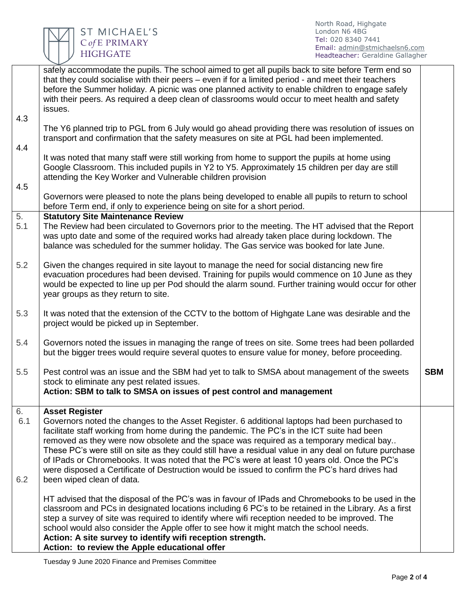

|                  | safely accommodate the pupils. The school aimed to get all pupils back to site before Term end so<br>that they could socialise with their peers – even if for a limited period - and meet their teachers<br>before the Summer holiday. A picnic was one planned activity to enable children to engage safely<br>with their peers. As required a deep clean of classrooms would occur to meet health and safety<br>issues.                                                                                                                                                                                                                                 |            |
|------------------|-----------------------------------------------------------------------------------------------------------------------------------------------------------------------------------------------------------------------------------------------------------------------------------------------------------------------------------------------------------------------------------------------------------------------------------------------------------------------------------------------------------------------------------------------------------------------------------------------------------------------------------------------------------|------------|
| 4.3<br>4.4       | The Y6 planned trip to PGL from 6 July would go ahead providing there was resolution of issues on<br>transport and confirmation that the safety measures on site at PGL had been implemented.                                                                                                                                                                                                                                                                                                                                                                                                                                                             |            |
| 4.5              | It was noted that many staff were still working from home to support the pupils at home using<br>Google Classroom. This included pupils in Y2 to Y5. Approximately 15 children per day are still<br>attending the Key Worker and Vulnerable children provision                                                                                                                                                                                                                                                                                                                                                                                            |            |
|                  | Governors were pleased to note the plans being developed to enable all pupils to return to school<br>before Term end, if only to experience being on site for a short period.                                                                                                                                                                                                                                                                                                                                                                                                                                                                             |            |
| 5.<br>5.1        | <b>Statutory Site Maintenance Review</b><br>The Review had been circulated to Governors prior to the meeting. The HT advised that the Report<br>was upto date and some of the required works had already taken place during lockdown. The<br>balance was scheduled for the summer holiday. The Gas service was booked for late June.                                                                                                                                                                                                                                                                                                                      |            |
| 5.2              | Given the changes required in site layout to manage the need for social distancing new fire<br>evacuation procedures had been devised. Training for pupils would commence on 10 June as they<br>would be expected to line up per Pod should the alarm sound. Further training would occur for other<br>year groups as they return to site.                                                                                                                                                                                                                                                                                                                |            |
| 5.3              | It was noted that the extension of the CCTV to the bottom of Highgate Lane was desirable and the<br>project would be picked up in September.                                                                                                                                                                                                                                                                                                                                                                                                                                                                                                              |            |
| 5.4              | Governors noted the issues in managing the range of trees on site. Some trees had been pollarded<br>but the bigger trees would require several quotes to ensure value for money, before proceeding.                                                                                                                                                                                                                                                                                                                                                                                                                                                       |            |
| 5.5              | Pest control was an issue and the SBM had yet to talk to SMSA about management of the sweets<br>stock to eliminate any pest related issues.<br>Action: SBM to talk to SMSA on issues of pest control and management                                                                                                                                                                                                                                                                                                                                                                                                                                       | <b>SBM</b> |
| 6.<br>6.1<br>6.2 | <b>Asset Register</b><br>Governors noted the changes to the Asset Register. 6 additional laptops had been purchased to<br>facilitate staff working from home during the pandemic. The PC's in the ICT suite had been<br>removed as they were now obsolete and the space was required as a temporary medical bay<br>These PC's were still on site as they could still have a residual value in any deal on future purchase<br>of IPads or Chromebooks. It was noted that the PC's were at least 10 years old. Once the PC's<br>were disposed a Certificate of Destruction would be issued to confirm the PC's hard drives had<br>been wiped clean of data. |            |
|                  | HT advised that the disposal of the PC's was in favour of IPads and Chromebooks to be used in the<br>classroom and PCs in designated locations including 6 PC's to be retained in the Library. As a first<br>step a survey of site was required to identify where wifi reception needed to be improved. The<br>school would also consider the Apple offer to see how it might match the school needs.<br>Action: A site survey to identify wifi reception strength.<br>Action: to review the Apple educational offer                                                                                                                                      |            |

Tuesday 9 June 2020 Finance and Premises Committee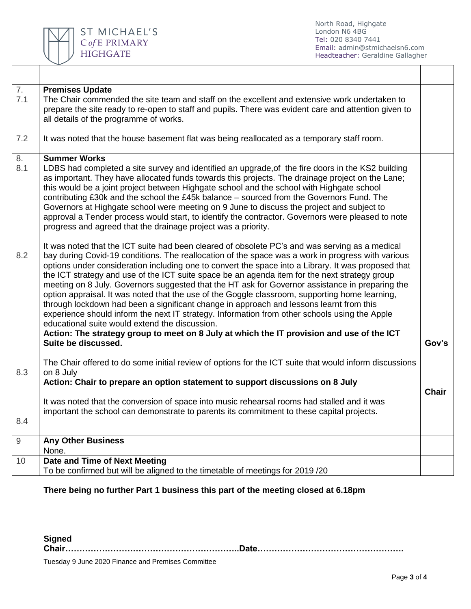

North Road, Highgate London N6 4BG Tel: 020 8340 7441 Email: [admin@stmichaelsn6.com](mailto:admin@stmichaelsn6.com) Headteacher: Geraldine Gallagher

| 7.<br>7.1               | <b>Premises Update</b><br>The Chair commended the site team and staff on the excellent and extensive work undertaken to<br>prepare the site ready to re-open to staff and pupils. There was evident care and attention given to<br>all details of the programme of works.                                                                                                                                                                                                                                                                                                                                                                                                                                                                                                                                                                                                                                                                                                                                                                                                                                                                                                                                                                                                                                                                                                                                                                                                                                                                                                                                                                                                                                                                                                                             |              |
|-------------------------|-------------------------------------------------------------------------------------------------------------------------------------------------------------------------------------------------------------------------------------------------------------------------------------------------------------------------------------------------------------------------------------------------------------------------------------------------------------------------------------------------------------------------------------------------------------------------------------------------------------------------------------------------------------------------------------------------------------------------------------------------------------------------------------------------------------------------------------------------------------------------------------------------------------------------------------------------------------------------------------------------------------------------------------------------------------------------------------------------------------------------------------------------------------------------------------------------------------------------------------------------------------------------------------------------------------------------------------------------------------------------------------------------------------------------------------------------------------------------------------------------------------------------------------------------------------------------------------------------------------------------------------------------------------------------------------------------------------------------------------------------------------------------------------------------------|--------------|
| 7.2                     | It was noted that the house basement flat was being reallocated as a temporary staff room.                                                                                                                                                                                                                                                                                                                                                                                                                                                                                                                                                                                                                                                                                                                                                                                                                                                                                                                                                                                                                                                                                                                                                                                                                                                                                                                                                                                                                                                                                                                                                                                                                                                                                                            |              |
| 8.<br>8.1<br>8.2<br>8.3 | <b>Summer Works</b><br>LDBS had completed a site survey and identified an upgrade, of the fire doors in the KS2 building<br>as important. They have allocated funds towards this projects. The drainage project on the Lane;<br>this would be a joint project between Highgate school and the school with Highgate school<br>contributing £30k and the school the £45k balance - sourced from the Governors Fund. The<br>Governors at Highgate school were meeting on 9 June to discuss the project and subject to<br>approval a Tender process would start, to identify the contractor. Governors were pleased to note<br>progress and agreed that the drainage project was a priority.<br>It was noted that the ICT suite had been cleared of obsolete PC's and was serving as a medical<br>bay during Covid-19 conditions. The reallocation of the space was a work in progress with various<br>options under consideration including one to convert the space into a Library. It was proposed that<br>the ICT strategy and use of the ICT suite space be an agenda item for the next strategy group<br>meeting on 8 July. Governors suggested that the HT ask for Governor assistance in preparing the<br>option appraisal. It was noted that the use of the Goggle classroom, supporting home learning,<br>through lockdown had been a significant change in approach and lessons learnt from this<br>experience should inform the next IT strategy. Information from other schools using the Apple<br>educational suite would extend the discussion.<br>Action: The strategy group to meet on 8 July at which the IT provision and use of the ICT<br>Suite be discussed.<br>The Chair offered to do some initial review of options for the ICT suite that would inform discussions<br>on 8 July | Gov's        |
| 8.4                     | Action: Chair to prepare an option statement to support discussions on 8 July<br>It was noted that the conversion of space into music rehearsal rooms had stalled and it was<br>important the school can demonstrate to parents its commitment to these capital projects.                                                                                                                                                                                                                                                                                                                                                                                                                                                                                                                                                                                                                                                                                                                                                                                                                                                                                                                                                                                                                                                                                                                                                                                                                                                                                                                                                                                                                                                                                                                             | <b>Chair</b> |
| 9                       | <b>Any Other Business</b>                                                                                                                                                                                                                                                                                                                                                                                                                                                                                                                                                                                                                                                                                                                                                                                                                                                                                                                                                                                                                                                                                                                                                                                                                                                                                                                                                                                                                                                                                                                                                                                                                                                                                                                                                                             |              |
|                         | None.                                                                                                                                                                                                                                                                                                                                                                                                                                                                                                                                                                                                                                                                                                                                                                                                                                                                                                                                                                                                                                                                                                                                                                                                                                                                                                                                                                                                                                                                                                                                                                                                                                                                                                                                                                                                 |              |
| 10                      | Date and Time of Next Meeting<br>To be confirmed but will be aligned to the timetable of meetings for 2019 /20                                                                                                                                                                                                                                                                                                                                                                                                                                                                                                                                                                                                                                                                                                                                                                                                                                                                                                                                                                                                                                                                                                                                                                                                                                                                                                                                                                                                                                                                                                                                                                                                                                                                                        |              |

### **There being no further Part 1 business this part of the meeting closed at 6.18pm**

| Signed |  |
|--------|--|
|        |  |

Tuesday 9 June 2020 Finance and Premises Committee